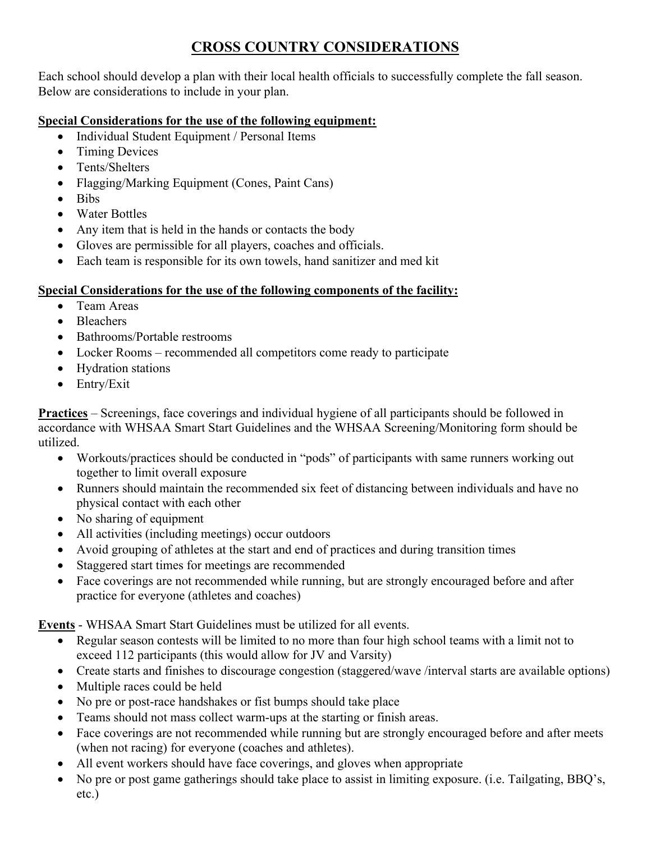## **CROSS COUNTRY CONSIDERATIONS**

Each school should develop a plan with their local health officials to successfully complete the fall season. Below are considerations to include in your plan.

## **Special Considerations for the use of the following equipment:**

- Individual Student Equipment / Personal Items
- Timing Devices
- Tents/Shelters
- Flagging/Marking Equipment (Cones, Paint Cans)
- Bibs
- Water Bottles
- Any item that is held in the hands or contacts the body
- Gloves are permissible for all players, coaches and officials.
- Each team is responsible for its own towels, hand sanitizer and med kit

## **Special Considerations for the use of the following components of the facility:**

- Team Areas
- Bleachers
- Bathrooms/Portable restrooms
- Locker Rooms recommended all competitors come ready to participate
- Hydration stations
- Entry/Exit

**Practices** – Screenings, face coverings and individual hygiene of all participants should be followed in accordance with WHSAA Smart Start Guidelines and the WHSAA Screening/Monitoring form should be utilized.

- Workouts/practices should be conducted in "pods" of participants with same runners working out together to limit overall exposure
- Runners should maintain the recommended six feet of distancing between individuals and have no physical contact with each other
- No sharing of equipment
- All activities (including meetings) occur outdoors
- Avoid grouping of athletes at the start and end of practices and during transition times
- Staggered start times for meetings are recommended
- Face coverings are not recommended while running, but are strongly encouraged before and after practice for everyone (athletes and coaches)

**Events** - WHSAA Smart Start Guidelines must be utilized for all events.

- Regular season contests will be limited to no more than four high school teams with a limit not to exceed 112 participants (this would allow for JV and Varsity)
- Create starts and finishes to discourage congestion (staggered/wave /interval starts are available options)
- Multiple races could be held
- No pre or post-race handshakes or fist bumps should take place
- Teams should not mass collect warm-ups at the starting or finish areas.
- Face coverings are not recommended while running but are strongly encouraged before and after meets (when not racing) for everyone (coaches and athletes).
- All event workers should have face coverings, and gloves when appropriate
- No pre or post game gatherings should take place to assist in limiting exposure. (i.e. Tailgating, BBQ's, etc.)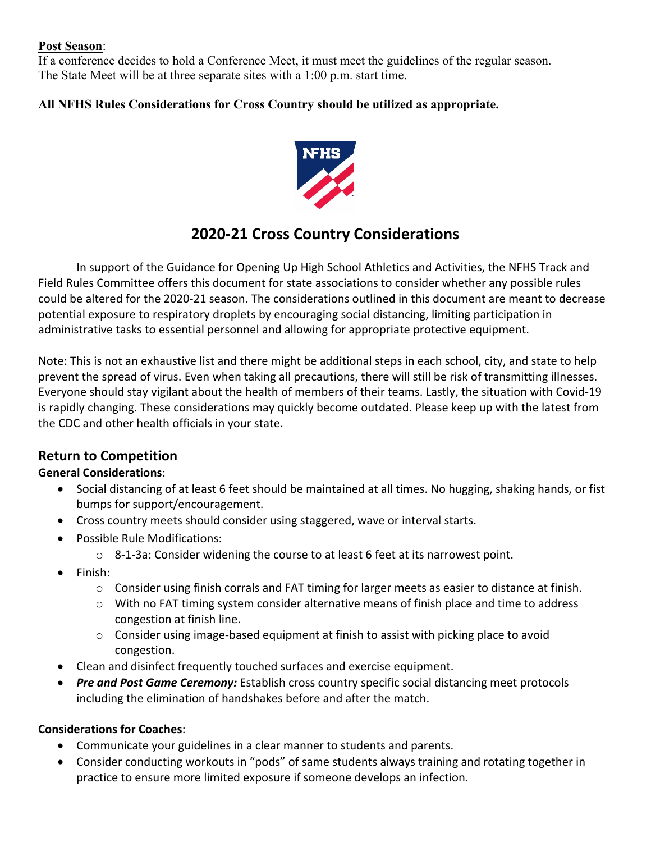#### **Post Season**:

If a conference decides to hold a Conference Meet, it must meet the guidelines of the regular season. The State Meet will be at three separate sites with a 1:00 p.m. start time.

## **All NFHS Rules Considerations for Cross Country should be utilized as appropriate.**



# **2020-21 Cross Country Considerations**

In support of the Guidance for Opening Up High School Athletics and Activities, the NFHS Track and Field Rules Committee offers this document for state associations to consider whether any possible rules could be altered for the 2020-21 season. The considerations outlined in this document are meant to decrease potential exposure to respiratory droplets by encouraging social distancing, limiting participation in administrative tasks to essential personnel and allowing for appropriate protective equipment.

Note: This is not an exhaustive list and there might be additional steps in each school, city, and state to help prevent the spread of virus. Even when taking all precautions, there will still be risk of transmitting illnesses. Everyone should stay vigilant about the health of members of their teams. Lastly, the situation with Covid-19 is rapidly changing. These considerations may quickly become outdated. Please keep up with the latest from the CDC and other health officials in your state.

## **Return to Competition**

### **General Considerations**:

- Social distancing of at least 6 feet should be maintained at all times. No hugging, shaking hands, or fist bumps for support/encouragement.
- Cross country meets should consider using staggered, wave or interval starts.
- Possible Rule Modifications:
	- o 8-1-3a: Consider widening the course to at least 6 feet at its narrowest point.
- Finish:
	- $\circ$  Consider using finish corrals and FAT timing for larger meets as easier to distance at finish.
	- o With no FAT timing system consider alternative means of finish place and time to address congestion at finish line.
	- $\circ$  Consider using image-based equipment at finish to assist with picking place to avoid congestion.
- Clean and disinfect frequently touched surfaces and exercise equipment.
- *Pre and Post Game Ceremony:* Establish cross country specific social distancing meet protocols including the elimination of handshakes before and after the match.

### **Considerations for Coaches**:

- Communicate your guidelines in a clear manner to students and parents.
- Consider conducting workouts in "pods" of same students always training and rotating together in practice to ensure more limited exposure if someone develops an infection.